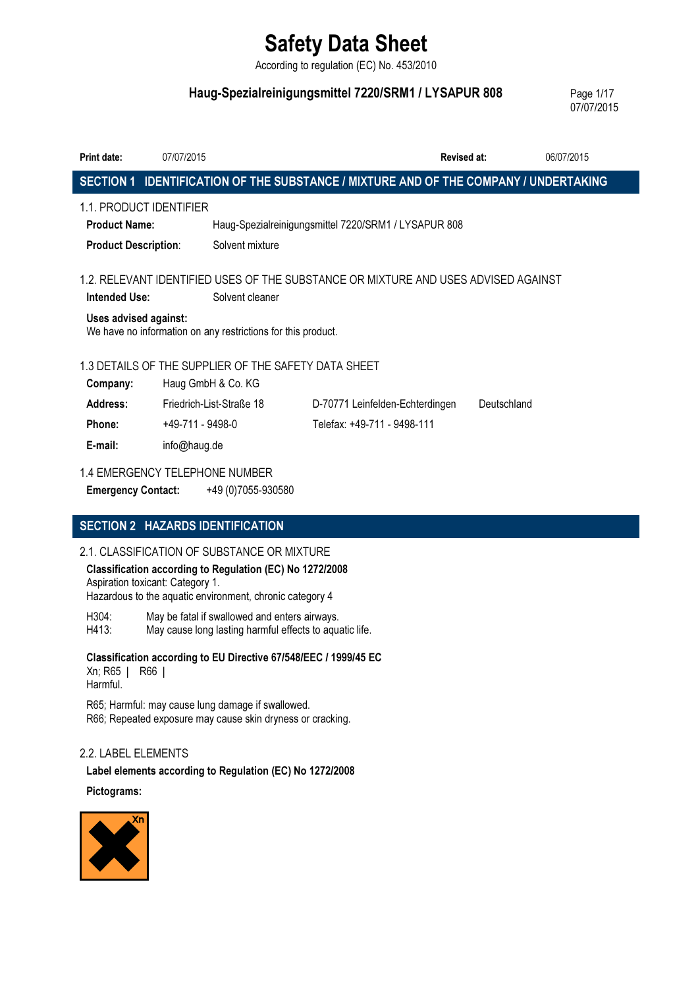According to regulation (EC) No. 453/2010

## Haug-Spezialreinigungsmittel 7220/SRM1 / LYSAPUR 808 Page 1/17

07/07/2015

| <b>Print date:</b>                                                                                                                                                                                              | 07/07/2015                     |                                                      |                                                                                      | <b>Revised at:</b> | 06/07/2015  |  |
|-----------------------------------------------------------------------------------------------------------------------------------------------------------------------------------------------------------------|--------------------------------|------------------------------------------------------|--------------------------------------------------------------------------------------|--------------------|-------------|--|
|                                                                                                                                                                                                                 |                                |                                                      | SECTION 1 IDENTIFICATION OF THE SUBSTANCE / MIXTURE AND OF THE COMPANY / UNDERTAKING |                    |             |  |
| <b>Product Name:</b><br><b>Product Description:</b>                                                                                                                                                             | 1.1. PRODUCT IDENTIFIER        | Solvent mixture                                      | Haug-Spezialreinigungsmittel 7220/SRM1 / LYSAPUR 808                                 |                    |             |  |
| 1.2. RELEVANT IDENTIFIED USES OF THE SUBSTANCE OR MIXTURE AND USES ADVISED AGAINST<br>Intended Use:<br>Solvent cleaner<br>Uses advised against:<br>We have no information on any restrictions for this product. |                                |                                                      |                                                                                      |                    |             |  |
|                                                                                                                                                                                                                 |                                | 1.3 DETAILS OF THE SUPPLIER OF THE SAFETY DATA SHEET |                                                                                      |                    |             |  |
| Company:                                                                                                                                                                                                        | Haug GmbH & Co. KG             |                                                      |                                                                                      |                    |             |  |
| Address:                                                                                                                                                                                                        | Friedrich-List-Straße 18       |                                                      | D-70771 Leinfelden-Echterdingen                                                      |                    | Deutschland |  |
| Phone:                                                                                                                                                                                                          | +49-711 - 9498-0               |                                                      | Telefax: +49-711 - 9498-111                                                          |                    |             |  |
| E-mail:                                                                                                                                                                                                         | info@haug.de                   |                                                      |                                                                                      |                    |             |  |
| <b>Emergency Contact:</b>                                                                                                                                                                                       | 1.4 EMERGENCY TELEPHONE NUMBER | +49 (0)7055-930580                                   |                                                                                      |                    |             |  |

## SECTION 2 HAZARDS IDENTIFICATION

### 2.1. CLASSIFICATION OF SUBSTANCE OR MIXTURE

Classification according to Regulation (EC) No 1272/2008 Aspiration toxicant: Category 1.

Hazardous to the aquatic environment, chronic category 4

H304: May be fatal if swallowed and enters airways. H413: May cause long lasting harmful effects to aquatic life.

Classification according to EU Directive 67/548/EEC / 1999/45 EC Xn; R65 | R66 | Harmful.

R65; Harmful: may cause lung damage if swallowed. R66; Repeated exposure may cause skin dryness or cracking.

## 2.2. LABEL ELEMENTS

Label elements according to Regulation (EC) No 1272/2008

## Pictograms:

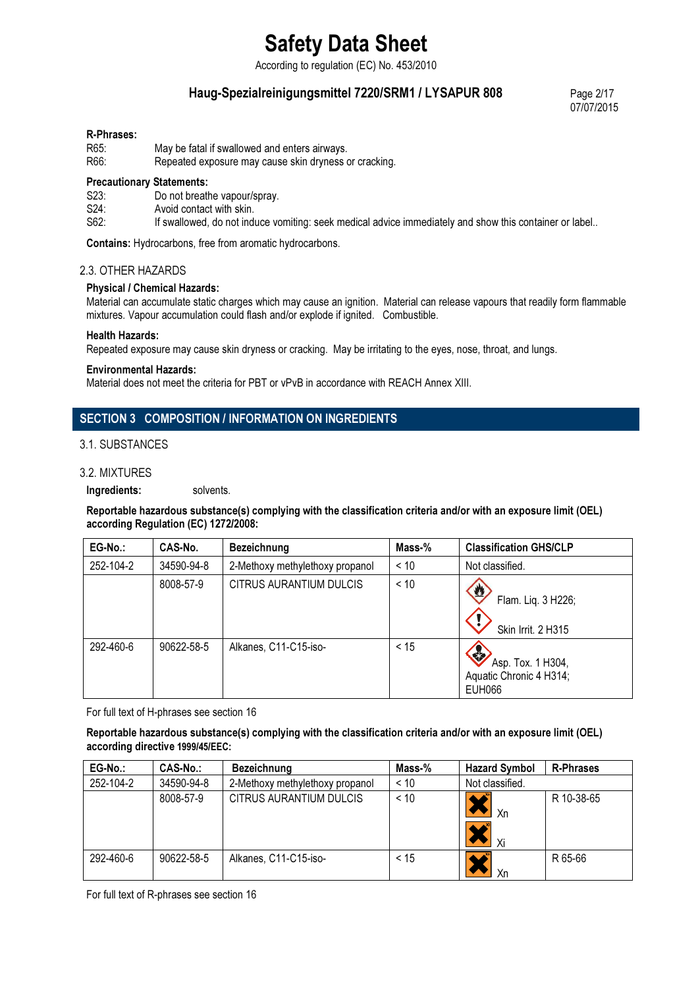According to regulation (EC) No. 453/2010

## Haug-Spezialreinigungsmittel 7220/SRM1 / LYSAPUR 808 Page 2/17

07/07/2015

#### R-Phrases:

| R65: | May be fatal if swallowed and enters airways.         |
|------|-------------------------------------------------------|
| R66: | Repeated exposure may cause skin dryness or cracking. |

#### Precautionary Statements:

| S23. |                              |
|------|------------------------------|
|      | Do not breathe vapour/spray. |
|      |                              |

S24: Avoid contact with skin.

S62: If swallowed, do not induce vomiting: seek medical advice immediately and show this container or label..

Contains: Hydrocarbons, free from aromatic hydrocarbons.

#### 2.3. OTHER HAZARDS

#### Physical / Chemical Hazards:

Material can accumulate static charges which may cause an ignition. Material can release vapours that readily form flammable mixtures. Vapour accumulation could flash and/or explode if ignited. Combustible.

#### Health Hazards:

Repeated exposure may cause skin dryness or cracking. May be irritating to the eyes, nose, throat, and lungs.

#### Environmental Hazards:

Material does not meet the criteria for PBT or vPvB in accordance with REACH Annex XIII.

## SECTION 3 COMPOSITION / INFORMATION ON INGREDIENTS

### 3.1. SUBSTANCES

#### 3.2. MIXTURES

Ingredients: solvents.

#### Reportable hazardous substance(s) complying with the classification criteria and/or with an exposure limit (OEL) according Regulation (EC) 1272/2008:

| EG-No.:   | CAS-No.    | Bezeichnung                     | Mass-% | <b>Classification GHS/CLP</b>                                               |
|-----------|------------|---------------------------------|--------|-----------------------------------------------------------------------------|
| 252-104-2 | 34590-94-8 | 2-Methoxy methylethoxy propanol | < 10   | Not classified.                                                             |
|           | 8008-57-9  | CITRUS AURANTIUM DULCIS         | < 10   | O<br>Flam. Liq. 3 H226;<br>Skin Irrit. 2 H315                               |
| 292-460-6 | 90622-58-5 | Alkanes, C11-C15-iso-           | < 15   | <b>REA</b><br>Asp. Tox. 1 H304,<br>Aquatic Chronic 4 H314;<br><b>EUH066</b> |

For full text of H-phrases see section 16

#### Reportable hazardous substance(s) complying with the classification criteria and/or with an exposure limit (OEL) according directive 1999/45/EEC:

| EG-No.:   | <b>CAS-No.:</b> | <b>Bezeichnung</b>              | Mass-% | <b>Hazard Symbol</b> | <b>R-Phrases</b> |
|-----------|-----------------|---------------------------------|--------|----------------------|------------------|
| 252-104-2 | 34590-94-8      | 2-Methoxy methylethoxy propanol | < 10   | Not classified.      |                  |
|           | 8008-57-9       | CITRUS AURANTIUM DULCIS         | < 10   | Xn<br>- Xi           | R 10-38-65       |
| 292-460-6 | 90622-58-5      | Alkanes, C11-C15-iso-           | < 15   |                      | R 65-66          |

For full text of R-phrases see section 16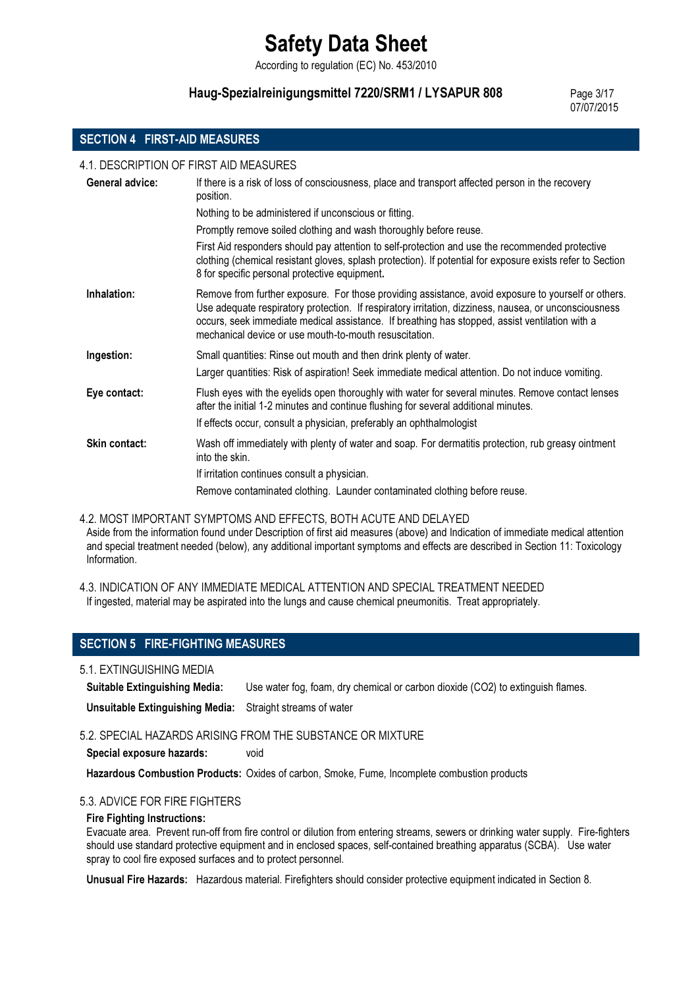According to regulation (EC) No. 453/2010

## Haug-Spezialreinigungsmittel 7220/SRM1 / LYSAPUR 808 Page 3/17

07/07/2015

## SECTION 4 FIRST-AID MEASURES

4.1. DESCRIPTION OF FIRST AID MEASURES

| General advice:      | If there is a risk of loss of consciousness, place and transport affected person in the recovery<br>position.                                                                                                                                                                                                                                                            |
|----------------------|--------------------------------------------------------------------------------------------------------------------------------------------------------------------------------------------------------------------------------------------------------------------------------------------------------------------------------------------------------------------------|
|                      | Nothing to be administered if unconscious or fitting.                                                                                                                                                                                                                                                                                                                    |
|                      | Promptly remove soiled clothing and wash thoroughly before reuse.                                                                                                                                                                                                                                                                                                        |
|                      | First Aid responders should pay attention to self-protection and use the recommended protective<br>clothing (chemical resistant gloves, splash protection). If potential for exposure exists refer to Section<br>8 for specific personal protective equipment.                                                                                                           |
| Inhalation:          | Remove from further exposure. For those providing assistance, avoid exposure to yourself or others.<br>Use adequate respiratory protection. If respiratory irritation, dizziness, nausea, or unconsciousness<br>occurs, seek immediate medical assistance. If breathing has stopped, assist ventilation with a<br>mechanical device or use mouth-to-mouth resuscitation. |
| Ingestion:           | Small quantities: Rinse out mouth and then drink plenty of water.                                                                                                                                                                                                                                                                                                        |
|                      | Larger quantities: Risk of aspiration! Seek immediate medical attention. Do not induce vomiting.                                                                                                                                                                                                                                                                         |
| Eye contact:         | Flush eyes with the eyelids open thoroughly with water for several minutes. Remove contact lenses<br>after the initial 1-2 minutes and continue flushing for several additional minutes.                                                                                                                                                                                 |
|                      | If effects occur, consult a physician, preferably an ophthalmologist                                                                                                                                                                                                                                                                                                     |
| <b>Skin contact:</b> | Wash off immediately with plenty of water and soap. For dermatitis protection, rub greasy ointment<br>into the skin.                                                                                                                                                                                                                                                     |
|                      | If irritation continues consult a physician.                                                                                                                                                                                                                                                                                                                             |
|                      | Remove contaminated clothing. Launder contaminated clothing before reuse.                                                                                                                                                                                                                                                                                                |

4.2. MOST IMPORTANT SYMPTOMS AND EFFECTS, BOTH ACUTE AND DELAYED Aside from the information found under Description of first aid measures (above) and Indication of immediate medical attention and special treatment needed (below), any additional important symptoms and effects are described in Section 11: Toxicology Information.

4.3. INDICATION OF ANY IMMEDIATE MEDICAL ATTENTION AND SPECIAL TREATMENT NEEDED If ingested, material may be aspirated into the lungs and cause chemical pneumonitis. Treat appropriately.

## SECTION 5 FIRE-FIGHTING MEASURES

5.1. EXTINGUISHING MEDIA

Suitable Extinguishing Media: Use water fog, foam, dry chemical or carbon dioxide (CO2) to extinguish flames.

Unsuitable Extinguishing Media: Straight streams of water

5.2. SPECIAL HAZARDS ARISING FROM THE SUBSTANCE OR MIXTURE

Special exposure hazards: void

Hazardous Combustion Products: Oxides of carbon, Smoke, Fume, Incomplete combustion products

### 5.3. ADVICE FOR FIRE FIGHTERS

#### Fire Fighting Instructions:

Evacuate area. Prevent run-off from fire control or dilution from entering streams, sewers or drinking water supply. Fire-fighters should use standard protective equipment and in enclosed spaces, self-contained breathing apparatus (SCBA). Use water spray to cool fire exposed surfaces and to protect personnel.

Unusual Fire Hazards: Hazardous material. Firefighters should consider protective equipment indicated in Section 8.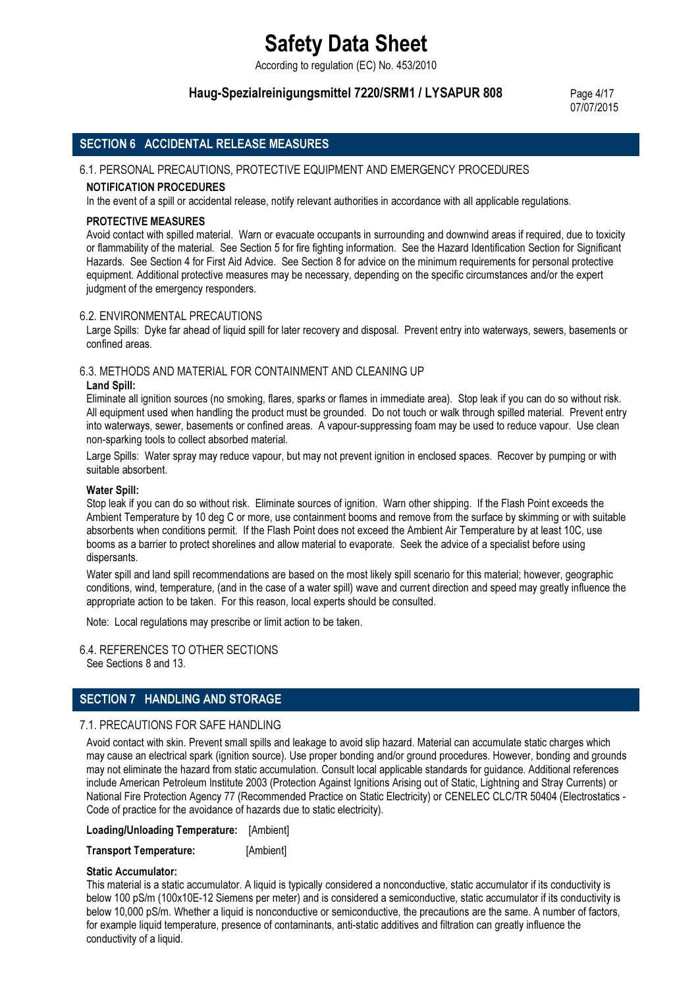According to regulation (EC) No. 453/2010

## Haug-Spezialreinigungsmittel 7220/SRM1 / LYSAPUR 808 Page 4/17

07/07/2015

## SECTION 6 ACCIDENTAL RELEASE MEASURES

#### 6.1. PERSONAL PRECAUTIONS, PROTECTIVE EQUIPMENT AND EMERGENCY PROCEDURES

#### NOTIFICATION PROCEDURES

In the event of a spill or accidental release, notify relevant authorities in accordance with all applicable regulations.

#### PROTECTIVE MEASURES

Avoid contact with spilled material. Warn or evacuate occupants in surrounding and downwind areas if required, due to toxicity or flammability of the material. See Section 5 for fire fighting information. See the Hazard Identification Section for Significant Hazards. See Section 4 for First Aid Advice. See Section 8 for advice on the minimum requirements for personal protective equipment. Additional protective measures may be necessary, depending on the specific circumstances and/or the expert judgment of the emergency responders.

#### 6.2. ENVIRONMENTAL PRECAUTIONS

Large Spills: Dyke far ahead of liquid spill for later recovery and disposal. Prevent entry into waterways, sewers, basements or confined areas.

#### 6.3. METHODS AND MATERIAL FOR CONTAINMENT AND CLEANING UP

#### Land Spill:

Eliminate all ignition sources (no smoking, flares, sparks or flames in immediate area). Stop leak if you can do so without risk. All equipment used when handling the product must be grounded. Do not touch or walk through spilled material. Prevent entry into waterways, sewer, basements or confined areas. A vapour-suppressing foam may be used to reduce vapour. Use clean non-sparking tools to collect absorbed material.

Large Spills: Water spray may reduce vapour, but may not prevent ignition in enclosed spaces. Recover by pumping or with suitable absorbent.

#### Water Spill:

Stop leak if you can do so without risk. Eliminate sources of ignition. Warn other shipping. If the Flash Point exceeds the Ambient Temperature by 10 deg C or more, use containment booms and remove from the surface by skimming or with suitable absorbents when conditions permit. If the Flash Point does not exceed the Ambient Air Temperature by at least 10C, use booms as a barrier to protect shorelines and allow material to evaporate. Seek the advice of a specialist before using dispersants.

Water spill and land spill recommendations are based on the most likely spill scenario for this material; however, geographic conditions, wind, temperature, (and in the case of a water spill) wave and current direction and speed may greatly influence the appropriate action to be taken. For this reason, local experts should be consulted.

Note: Local regulations may prescribe or limit action to be taken.

6.4. REFERENCES TO OTHER SECTIONS See Sections 8 and 13.

## SECTION 7 HANDLING AND STORAGE

### 7.1. PRECAUTIONS FOR SAFE HANDLING

Avoid contact with skin. Prevent small spills and leakage to avoid slip hazard. Material can accumulate static charges which may cause an electrical spark (ignition source). Use proper bonding and/or ground procedures. However, bonding and grounds may not eliminate the hazard from static accumulation. Consult local applicable standards for guidance. Additional references include American Petroleum Institute 2003 (Protection Against Ignitions Arising out of Static, Lightning and Stray Currents) or National Fire Protection Agency 77 (Recommended Practice on Static Electricity) or CENELEC CLC/TR 50404 (Electrostatics - Code of practice for the avoidance of hazards due to static electricity).

Loading/Unloading Temperature: [Ambient]

Transport Temperature: [Ambient]

#### Static Accumulator:

This material is a static accumulator. A liquid is typically considered a nonconductive, static accumulator if its conductivity is below 100 pS/m (100x10E-12 Siemens per meter) and is considered a semiconductive, static accumulator if its conductivity is below 10,000 pS/m. Whether a liquid is nonconductive or semiconductive, the precautions are the same. A number of factors, for example liquid temperature, presence of contaminants, anti-static additives and filtration can greatly influence the conductivity of a liquid.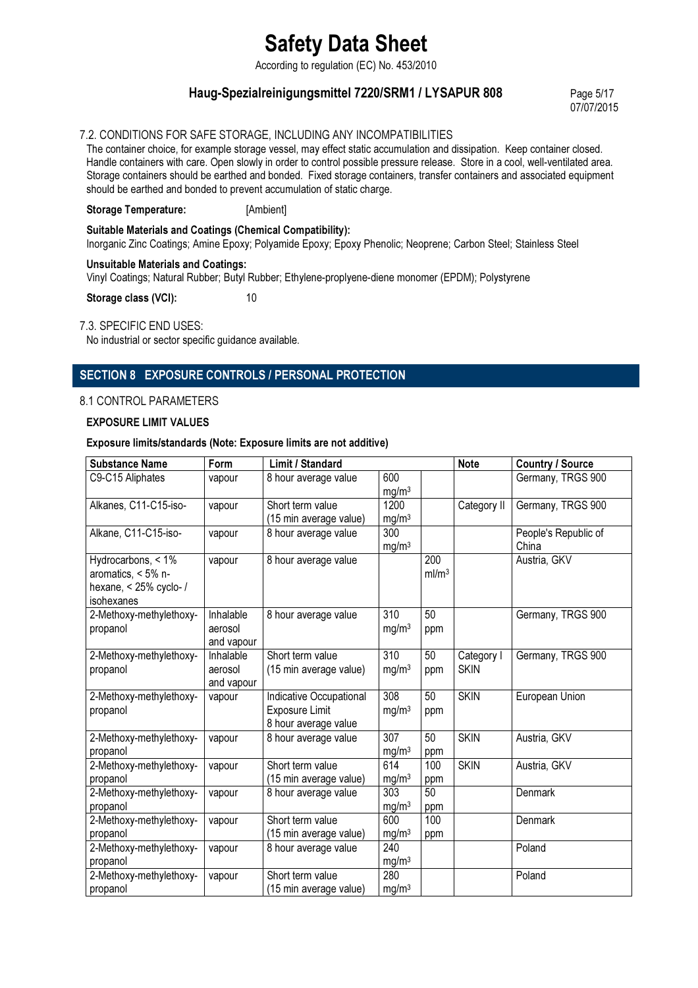According to regulation (EC) No. 453/2010

## Haug-Spezialreinigungsmittel 7220/SRM1 / LYSAPUR 808 Page 5/17

07/07/2015

## 7.2. CONDITIONS FOR SAFE STORAGE, INCLUDING ANY INCOMPATIBILITIES

The container choice, for example storage vessel, may effect static accumulation and dissipation. Keep container closed. Handle containers with care. Open slowly in order to control possible pressure release. Store in a cool, well-ventilated area. Storage containers should be earthed and bonded. Fixed storage containers, transfer containers and associated equipment should be earthed and bonded to prevent accumulation of static charge.

### Storage Temperature: [Ambient]

#### Suitable Materials and Coatings (Chemical Compatibility):

Inorganic Zinc Coatings; Amine Epoxy; Polyamide Epoxy; Epoxy Phenolic; Neoprene; Carbon Steel; Stainless Steel

#### Unsuitable Materials and Coatings:

Vinyl Coatings; Natural Rubber; Butyl Rubber; Ethylene-proplyene-diene monomer (EPDM); Polystyrene

Storage class (VCI): 10

#### 7.3. SPECIFIC END USES:

No industrial or sector specific guidance available.

## SECTION 8 EXPOSURE CONTROLS / PERSONAL PROTECTION

### 8.1 CONTROL PARAMETERS

#### EXPOSURE LIMIT VALUES

#### Exposure limits/standards (Note: Exposure limits are not additive)

| <b>Substance Name</b>   | Form       | Limit / Standard                       |                   |                   | <b>Note</b> | <b>Country / Source</b> |
|-------------------------|------------|----------------------------------------|-------------------|-------------------|-------------|-------------------------|
| C9-C15 Aliphates        | vapour     | 8 hour average value                   | 600               |                   |             | Germany, TRGS 900       |
|                         |            |                                        | mg/m <sup>3</sup> |                   |             |                         |
| Alkanes, C11-C15-iso-   | vapour     | Short term value                       | 1200              |                   | Category II | Germany, TRGS 900       |
|                         |            | (15 min average value)                 | mg/m <sup>3</sup> |                   |             |                         |
| Alkane, C11-C15-iso-    | vapour     | 8 hour average value                   | 300               |                   |             | People's Republic of    |
|                         |            |                                        | mg/m <sup>3</sup> |                   |             | China                   |
| Hydrocarbons, < 1%      | vapour     | 8 hour average value                   |                   | 200               |             | Austria, GKV            |
| aromatics, < 5% n-      |            |                                        |                   | ml/m <sup>3</sup> |             |                         |
| hexane, $<$ 25% cyclo-/ |            |                                        |                   |                   |             |                         |
| isohexanes              |            |                                        |                   |                   |             |                         |
| 2-Methoxy-methylethoxy- | Inhalable  | 8 hour average value                   | 310               | 50                |             | Germany, TRGS 900       |
| propanol                | aerosol    |                                        | mg/m <sup>3</sup> | ppm               |             |                         |
|                         | and vapour |                                        |                   |                   |             |                         |
| 2-Methoxy-methylethoxy- | Inhalable  | Short term value                       | 310               | 50                | Category I  | Germany, TRGS 900       |
| propanol                | aerosol    | (15 min average value)                 | mg/m <sup>3</sup> | ppm               | <b>SKIN</b> |                         |
|                         | and vapour |                                        | 308               | 50                | <b>SKIN</b> |                         |
| 2-Methoxy-methylethoxy- | vapour     | Indicative Occupational                |                   |                   |             | European Union          |
| propanol                |            | Exposure Limit<br>8 hour average value | mg/m <sup>3</sup> | ppm               |             |                         |
| 2-Methoxy-methylethoxy- | vapour     | 8 hour average value                   | 307               | 50                | <b>SKIN</b> | Austria, GKV            |
| propanol                |            |                                        | mg/m <sup>3</sup> | ppm               |             |                         |
| 2-Methoxy-methylethoxy- | vapour     | Short term value                       | 614               | 100               | <b>SKIN</b> | Austria, GKV            |
| propanol                |            | (15 min average value)                 | mg/m <sup>3</sup> | ppm               |             |                         |
| 2-Methoxy-methylethoxy- | vapour     | 8 hour average value                   | 303               | $\overline{50}$   |             | Denmark                 |
| propanol                |            |                                        | mg/m <sup>3</sup> | ppm               |             |                         |
| 2-Methoxy-methylethoxy- | vapour     | Short term value                       | 600               | 100               |             | <b>Denmark</b>          |
| propanol                |            | (15 min average value)                 | mg/m <sup>3</sup> | ppm               |             |                         |
| 2-Methoxy-methylethoxy- | vapour     | 8 hour average value                   | 240               |                   |             | Poland                  |
| propanol                |            |                                        | mg/m <sup>3</sup> |                   |             |                         |
| 2-Methoxy-methylethoxy- | vapour     | Short term value                       | 280               |                   |             | Poland                  |
| propanol                |            | (15 min average value)                 | mg/m <sup>3</sup> |                   |             |                         |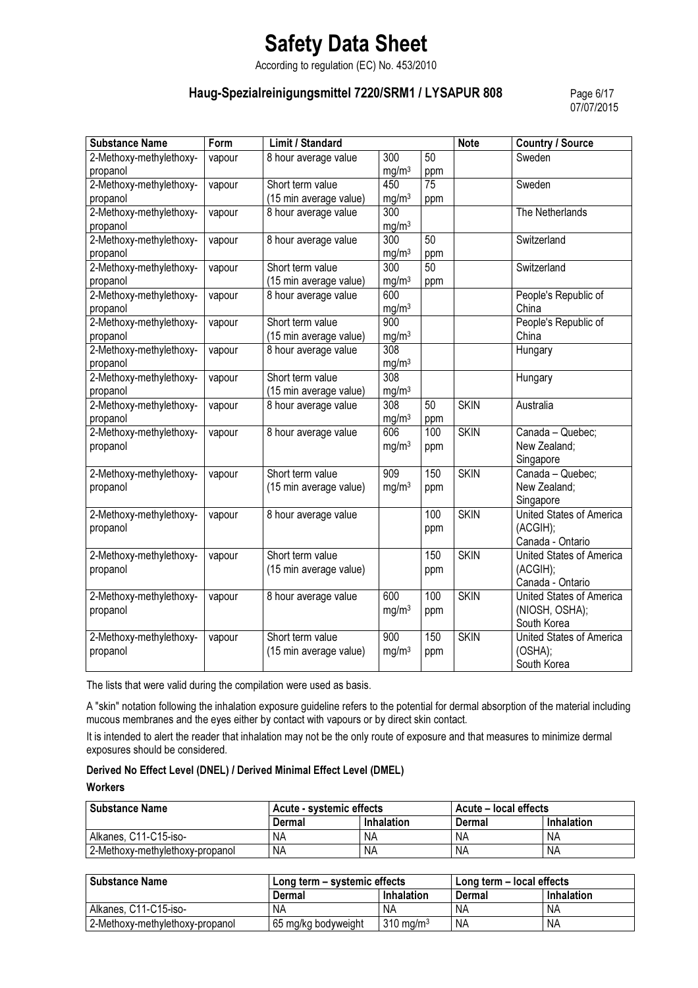According to regulation (EC) No. 453/2010

## Haug-Spezialreinigungsmittel 7220/SRM1 / LYSAPUR 808 Page 6/17

07/07/2015

| <b>Substance Name</b>   | Form   | Limit / Standard       |                   |                 | <b>Note</b> | <b>Country / Source</b>  |
|-------------------------|--------|------------------------|-------------------|-----------------|-------------|--------------------------|
| 2-Methoxy-methylethoxy- | vapour | 8 hour average value   | 300               | 50              |             | Sweden                   |
| propanol                |        |                        | mg/m <sup>3</sup> | ppm             |             |                          |
| 2-Methoxy-methylethoxy- | vapour | Short term value       | 450               | $\overline{75}$ |             | Sweden                   |
| propanol                |        | (15 min average value) | mg/m <sup>3</sup> | ppm             |             |                          |
| 2-Methoxy-methylethoxy- | vapour | 8 hour average value   | $\overline{300}$  |                 |             | The Netherlands          |
| propanol                |        |                        | mg/m <sup>3</sup> |                 |             |                          |
| 2-Methoxy-methylethoxy- | vapour | 8 hour average value   | $\overline{300}$  | $\overline{50}$ |             | Switzerland              |
| propanol                |        |                        | mg/m <sup>3</sup> | ppm             |             |                          |
| 2-Methoxy-methylethoxy- | vapour | Short term value       | 300               | $\overline{50}$ |             | Switzerland              |
| propanol                |        | (15 min average value) | mg/m <sup>3</sup> | ppm             |             |                          |
| 2-Methoxy-methylethoxy- | vapour | 8 hour average value   | 600               |                 |             | People's Republic of     |
| propanol                |        |                        | mg/m <sup>3</sup> |                 |             | China                    |
| 2-Methoxy-methylethoxy- | vapour | Short term value       | 900               |                 |             | People's Republic of     |
| propanol                |        | (15 min average value) | mg/m <sup>3</sup> |                 |             | China                    |
| 2-Methoxy-methylethoxy- | vapour | 8 hour average value   | 308               |                 |             | Hungary                  |
| propanol                |        |                        | mg/m <sup>3</sup> |                 |             |                          |
| 2-Methoxy-methylethoxy- | vapour | Short term value       | $\overline{308}$  |                 |             | Hungary                  |
| propanol                |        | (15 min average value) | mg/m <sup>3</sup> |                 |             |                          |
| 2-Methoxy-methylethoxy- | vapour | 8 hour average value   | $\overline{308}$  | 50              | <b>SKIN</b> | Australia                |
| propanol                |        |                        | mg/m <sup>3</sup> | ppm             |             |                          |
| 2-Methoxy-methylethoxy- | vapour | 8 hour average value   | 606               | 100             | <b>SKIN</b> | Canada - Quebec;         |
| propanol                |        |                        | mg/m <sup>3</sup> | ppm             |             | New Zealand;             |
|                         |        |                        |                   |                 |             | Singapore                |
| 2-Methoxy-methylethoxy- | vapour | Short term value       | 909               | 150             | <b>SKIN</b> | Canada - Quebec;         |
| propanol                |        | (15 min average value) | mg/m <sup>3</sup> | ppm             |             | New Zealand;             |
|                         |        |                        |                   |                 |             | Singapore                |
| 2-Methoxy-methylethoxy- | vapour | 8 hour average value   |                   | 100             | <b>SKIN</b> | United States of America |
| propanol                |        |                        |                   | ppm             |             | (ACGIH);                 |
|                         |        |                        |                   |                 |             | Canada - Ontario         |
| 2-Methoxy-methylethoxy- | vapour | Short term value       |                   | 150             | <b>SKIN</b> | United States of America |
| propanol                |        | (15 min average value) |                   | ppm             |             | (ACGIH);                 |
|                         |        |                        |                   |                 |             | Canada - Ontario         |
| 2-Methoxy-methylethoxy- | vapour | 8 hour average value   | 600               | 100             | <b>SKIN</b> | United States of America |
| propanol                |        |                        | mg/m <sup>3</sup> | ppm             |             | (NIOSH, OSHA);           |
|                         |        |                        |                   |                 |             | South Korea              |
| 2-Methoxy-methylethoxy- | vapour | Short term value       | 900               | 150             | <b>SKIN</b> | United States of America |
| propanol                |        | (15 min average value) | mg/m <sup>3</sup> | ppm             |             | (OSHA);                  |
|                         |        |                        |                   |                 |             | South Korea              |

The lists that were valid during the compilation were used as basis.

A "skin" notation following the inhalation exposure guideline refers to the potential for dermal absorption of the material including mucous membranes and the eyes either by contact with vapours or by direct skin contact.

It is intended to alert the reader that inhalation may not be the only route of exposure and that measures to minimize dermal exposures should be considered.

#### Derived No Effect Level (DNEL) / Derived Minimal Effect Level (DMEL)

**Workers** 

| <b>Substance Name</b>           | Acute - systemic effects |            | Acute – local effects |                   |
|---------------------------------|--------------------------|------------|-----------------------|-------------------|
|                                 | Dermal                   | Inhalation | Dermal                | <b>Inhalation</b> |
| Alkanes, C11-C15-iso-           | NA                       | NA         | NA                    | <b>NA</b>         |
| 2-Methoxy-methylethoxy-propanol | <b>NA</b>                | <b>NA</b>  | <b>NA</b>             | NA                |

| <b>Substance Name</b>           | Long term - systemic effects |                      | 'Long term – local effects |            |
|---------------------------------|------------------------------|----------------------|----------------------------|------------|
|                                 | Dermal                       | Inhalation           | Dermal                     | Inhalation |
| Alkanes, C11-C15-iso-           | NA                           | ΝA                   | NA                         | <b>NA</b>  |
| 2-Methoxy-methylethoxy-propanol | 65 mg/kg bodyweight          | $310 \text{ ma/m}^3$ | <b>NA</b>                  | <b>NA</b>  |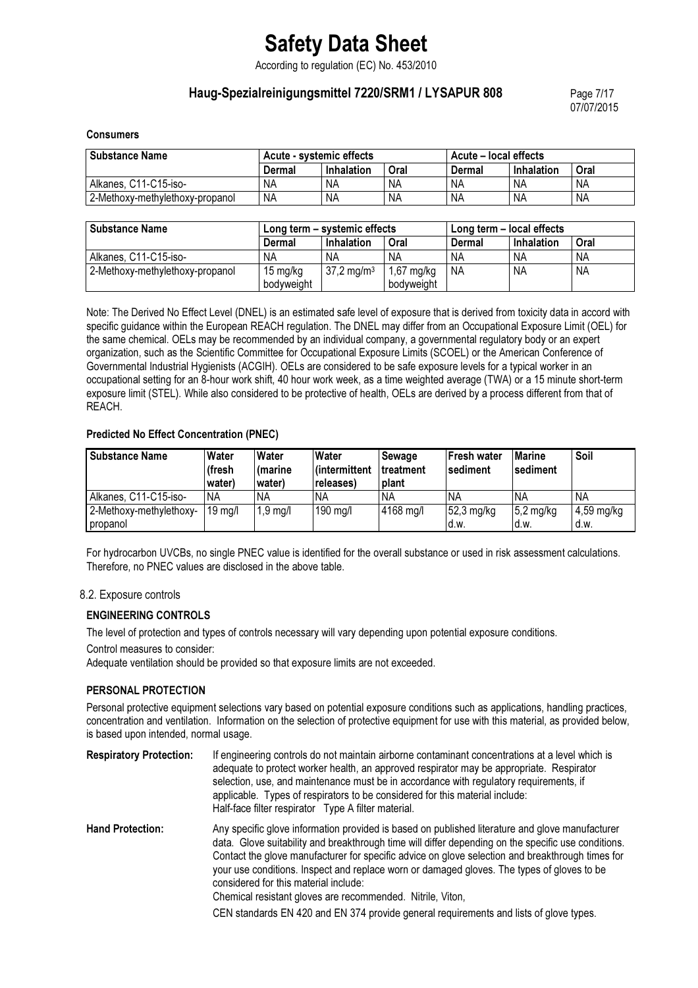According to regulation (EC) No. 453/2010

## Haug-Spezialreinigungsmittel 7220/SRM1 / LYSAPUR 808 Page 7/17

07/07/2015

#### **Consumers**

| <b>Substance Name</b>           | Acute - systemic effects |            |      | Acute – local effects |            |      |
|---------------------------------|--------------------------|------------|------|-----------------------|------------|------|
|                                 | Dermal                   | Inhalation | Oral | Dermal                | Inhalation | Oral |
| Alkanes, C11-C15-iso-           | <b>NA</b>                | ΝA         | NA   | <b>NA</b>             | ΝA         | ΝA   |
| 2-Methoxy-methylethoxy-propanol | ΝA                       | ΝA         | NA   | NΑ                    | <b>NA</b>  | ΝA   |

| <b>Substance Name</b>           | Long term – systemic effects |                          |              | Long term - local effects |            |           |
|---------------------------------|------------------------------|--------------------------|--------------|---------------------------|------------|-----------|
|                                 | Dermal                       | Inhalation               | Oral         | Dermal                    | Inhalation | Oral      |
| Alkanes, C11-C15-iso-           | ΝA                           | ΝA                       | <b>NA</b>    | NA                        | <b>NA</b>  | NA        |
| 2-Methoxy-methylethoxy-propanol | 15 mg/kg                     | $37,2 \,\mathrm{mg/m^3}$ | $1,67$ mg/kg | <b>NA</b>                 | <b>NA</b>  | <b>NA</b> |
|                                 | bodvweight                   |                          | bodyweight   |                           |            |           |

Note: The Derived No Effect Level (DNEL) is an estimated safe level of exposure that is derived from toxicity data in accord with specific guidance within the European REACH regulation. The DNEL may differ from an Occupational Exposure Limit (OEL) for the same chemical. OELs may be recommended by an individual company, a governmental regulatory body or an expert organization, such as the Scientific Committee for Occupational Exposure Limits (SCOEL) or the American Conference of Governmental Industrial Hygienists (ACGIH). OELs are considered to be safe exposure levels for a typical worker in an occupational setting for an 8-hour work shift, 40 hour work week, as a time weighted average (TWA) or a 15 minute short-term exposure limit (STEL). While also considered to be protective of health, OELs are derived by a process different from that of REACH.

#### Predicted No Effect Concentration (PNEC)

| <b>Substance Name</b>   | Water<br>(fresh<br>water) | Water<br>(marine<br>water) | Water<br>l (intermittent<br>releases) | Sewage<br>treatment<br>plant | Fresh water<br><b>sediment</b> | Marine<br><b>sediment</b> | Soil       |
|-------------------------|---------------------------|----------------------------|---------------------------------------|------------------------------|--------------------------------|---------------------------|------------|
| Alkanes, C11-C15-iso-   | <b>NA</b>                 | <b>NA</b>                  | <b>NA</b>                             | NA                           | NA                             | NA                        | ΝA         |
| 2-Methoxy-methylethoxy- | $19 \text{ mg/l}$         | $1,9$ mg/l                 | $190$ mg/l                            | 4168 mg/l                    | $52,3$ mg/kg                   | $5,2 \text{ mg/kg}$       | 4,59 mg/kg |
| propanol                |                           |                            |                                       |                              | d.w.                           | d.w.                      | d.w.       |

For hydrocarbon UVCBs, no single PNEC value is identified for the overall substance or used in risk assessment calculations. Therefore, no PNEC values are disclosed in the above table.

### 8.2. Exposure controls

### ENGINEERING CONTROLS

The level of protection and types of controls necessary will vary depending upon potential exposure conditions.

#### Control measures to consider:

Adequate ventilation should be provided so that exposure limits are not exceeded.

### PERSONAL PROTECTION

Personal protective equipment selections vary based on potential exposure conditions such as applications, handling practices, concentration and ventilation. Information on the selection of protective equipment for use with this material, as provided below, is based upon intended, normal usage.

Respiratory Protection: If engineering controls do not maintain airborne contaminant concentrations at a level which is adequate to protect worker health, an approved respirator may be appropriate. Respirator selection, use, and maintenance must be in accordance with regulatory requirements, if applicable. Types of respirators to be considered for this material include: Half-face filter respirator Type A filter material. Hand Protection: Any specific glove information provided is based on published literature and glove manufacturer data. Glove suitability and breakthrough time will differ depending on the specific use conditions.

Contact the glove manufacturer for specific advice on glove selection and breakthrough times for your use conditions. Inspect and replace worn or damaged gloves. The types of gloves to be considered for this material include:

Chemical resistant gloves are recommended. Nitrile, Viton,

CEN standards EN 420 and EN 374 provide general requirements and lists of glove types.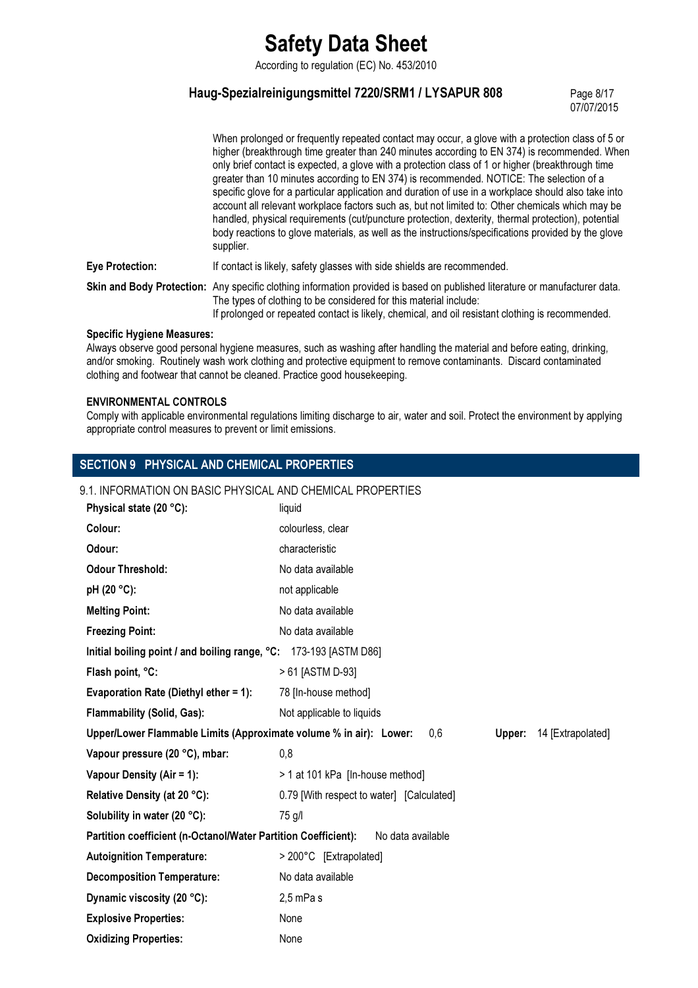According to regulation (EC) No. 453/2010

## Haug-Spezialreinigungsmittel 7220/SRM1 / LYSAPUR 808 Page 8/17

07/07/2015

|                        | When prolonged or frequently repeated contact may occur, a glove with a protection class of 5 or<br>higher (breakthrough time greater than 240 minutes according to EN 374) is recommended. When<br>only brief contact is expected, a glove with a protection class of 1 or higher (breakthrough time<br>greater than 10 minutes according to EN 374) is recommended. NOTICE: The selection of a<br>specific glove for a particular application and duration of use in a workplace should also take into<br>account all relevant workplace factors such as, but not limited to: Other chemicals which may be<br>handled, physical requirements (cut/puncture protection, dexterity, thermal protection), potential<br>body reactions to glove materials, as well as the instructions/specifications provided by the glove<br>supplier. |
|------------------------|----------------------------------------------------------------------------------------------------------------------------------------------------------------------------------------------------------------------------------------------------------------------------------------------------------------------------------------------------------------------------------------------------------------------------------------------------------------------------------------------------------------------------------------------------------------------------------------------------------------------------------------------------------------------------------------------------------------------------------------------------------------------------------------------------------------------------------------|
| <b>Eye Protection:</b> | If contact is likely, safety glasses with side shields are recommended.                                                                                                                                                                                                                                                                                                                                                                                                                                                                                                                                                                                                                                                                                                                                                                |
|                        | Skin and Body Protection: Any specific clothing information provided is based on published literature or manufacturer data.<br>The types of clothing to be considered for this material include:<br>If prolonged or repeated contact is likely, chemical, and oil resistant clothing is recommended.                                                                                                                                                                                                                                                                                                                                                                                                                                                                                                                                   |

#### Specific Hygiene Measures:

Always observe good personal hygiene measures, such as washing after handling the material and before eating, drinking, and/or smoking. Routinely wash work clothing and protective equipment to remove contaminants. Discard contaminated clothing and footwear that cannot be cleaned. Practice good housekeeping.

### ENVIRONMENTAL CONTROLS

Comply with applicable environmental regulations limiting discharge to air, water and soil. Protect the environment by applying appropriate control measures to prevent or limit emissions.

## SECTION 9 PHYSICAL AND CHEMICAL PROPERTIES

| 9.1. INFORMATION ON BASIC PHYSICAL AND CHEMICAL PROPERTIES                                               |                                           |  |  |  |
|----------------------------------------------------------------------------------------------------------|-------------------------------------------|--|--|--|
| Physical state (20 °C):                                                                                  | liquid                                    |  |  |  |
| Colour:                                                                                                  | colourless, clear                         |  |  |  |
| Odour:                                                                                                   | characteristic                            |  |  |  |
| <b>Odour Threshold:</b>                                                                                  | No data available                         |  |  |  |
| pH (20 °C):                                                                                              | not applicable                            |  |  |  |
| <b>Melting Point:</b>                                                                                    | No data available                         |  |  |  |
| <b>Freezing Point:</b>                                                                                   | No data available                         |  |  |  |
| Initial boiling point / and boiling range, °C: 173-193 [ASTM D86]                                        |                                           |  |  |  |
| Flash point, °C:                                                                                         | > 61 [ASTM D-93]                          |  |  |  |
| Evaporation Rate (Diethyl ether = 1):                                                                    | 78 [In-house method]                      |  |  |  |
| Flammability (Solid, Gas):                                                                               | Not applicable to liquids                 |  |  |  |
| Upper/Lower Flammable Limits (Approximate volume % in air): Lower:<br>14 [Extrapolated]<br>0.6<br>Upper: |                                           |  |  |  |
| Vapour pressure (20 °C), mbar:                                                                           | 0,8                                       |  |  |  |
| Vapour Density (Air = 1):                                                                                | > 1 at 101 kPa [In-house method]          |  |  |  |
| Relative Density (at 20 °C):                                                                             | 0.79 [With respect to water] [Calculated] |  |  |  |
| Solubility in water (20 °C):                                                                             | 75 g/l                                    |  |  |  |
| Partition coefficient (n-Octanol/Water Partition Coefficient):<br>No data available                      |                                           |  |  |  |
| <b>Autoignition Temperature:</b>                                                                         | > 200°C [Extrapolated]                    |  |  |  |
| <b>Decomposition Temperature:</b>                                                                        | No data available                         |  |  |  |
| Dynamic viscosity (20 °C):                                                                               | $2,5$ mPa s                               |  |  |  |
| <b>Explosive Properties:</b>                                                                             | None                                      |  |  |  |
| <b>Oxidizing Properties:</b>                                                                             |                                           |  |  |  |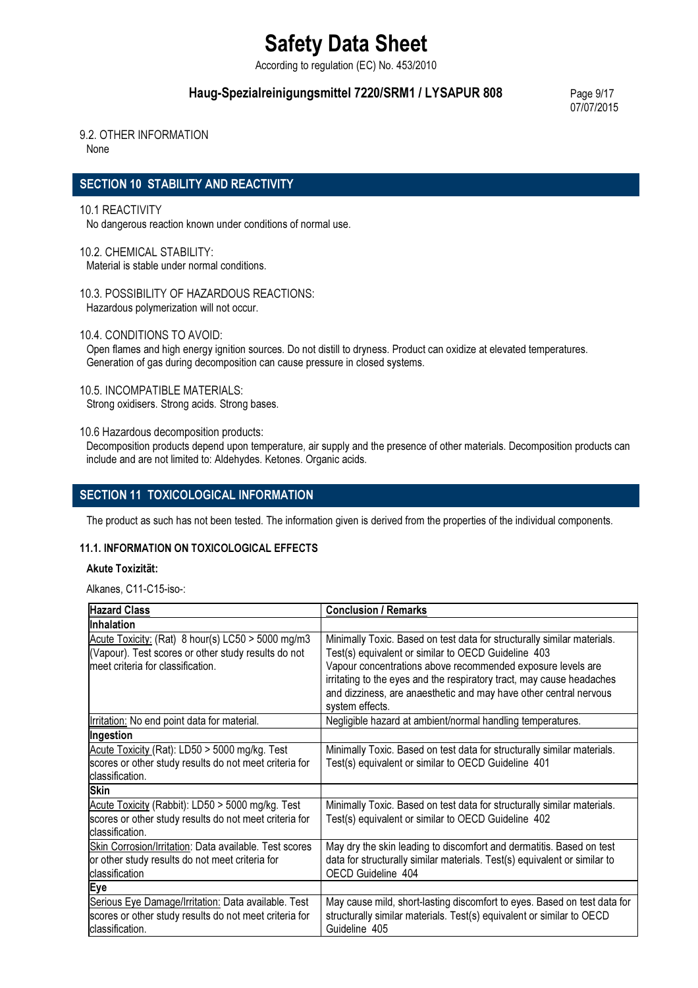According to regulation (EC) No. 453/2010

## Haug-Spezialreinigungsmittel 7220/SRM1 / LYSAPUR 808 Page 9/17

07/07/2015

## 9.2. OTHER INFORMATION

None

## SECTION 10 STABILITY AND REACTIVITY

#### 10.1 REACTIVITY

No dangerous reaction known under conditions of normal use.

10.2. CHEMICAL STABILITY: Material is stable under normal conditions.

10.3. POSSIBILITY OF HAZARDOUS REACTIONS: Hazardous polymerization will not occur.

10.4. CONDITIONS TO AVOID:

Open flames and high energy ignition sources. Do not distill to dryness. Product can oxidize at elevated temperatures. Generation of gas during decomposition can cause pressure in closed systems.

### 10.5. INCOMPATIBLE MATERIALS:

Strong oxidisers. Strong acids. Strong bases.

10.6 Hazardous decomposition products:

Decomposition products depend upon temperature, air supply and the presence of other materials. Decomposition products can include and are not limited to: Aldehydes. Ketones. Organic acids.

## SECTION 11 TOXICOLOGICAL INFORMATION

The product as such has not been tested. The information given is derived from the properties of the individual components.

### 11.1. INFORMATION ON TOXICOLOGICAL EFFECTS

### Akute Toxizität:

Alkanes, C11-C15-iso-:

| <b>Hazard Class</b>                                                                                                                             | <b>Conclusion / Remarks</b>                                                                                                                                                                                                                                                                                                                                    |  |  |
|-------------------------------------------------------------------------------------------------------------------------------------------------|----------------------------------------------------------------------------------------------------------------------------------------------------------------------------------------------------------------------------------------------------------------------------------------------------------------------------------------------------------------|--|--|
| Inhalation                                                                                                                                      |                                                                                                                                                                                                                                                                                                                                                                |  |  |
| Acute Toxicity: (Rat) $8$ hour(s) LC50 > 5000 mg/m3<br>(Vapour). Test scores or other study results do not<br>meet criteria for classification. | Minimally Toxic. Based on test data for structurally similar materials.<br>Test(s) equivalent or similar to OECD Guideline 403<br>Vapour concentrations above recommended exposure levels are<br>irritating to the eyes and the respiratory tract, may cause headaches<br>and dizziness, are anaesthetic and may have other central nervous<br>system effects. |  |  |
| Irritation: No end point data for material.                                                                                                     | Negligible hazard at ambient/normal handling temperatures.                                                                                                                                                                                                                                                                                                     |  |  |
| Ingestion                                                                                                                                       |                                                                                                                                                                                                                                                                                                                                                                |  |  |
| Acute Toxicity (Rat): LD50 > 5000 mg/kg. Test<br>scores or other study results do not meet criteria for<br>classification.                      | Minimally Toxic. Based on test data for structurally similar materials.<br>Test(s) equivalent or similar to OECD Guideline 401                                                                                                                                                                                                                                 |  |  |
| <b>Skin</b>                                                                                                                                     |                                                                                                                                                                                                                                                                                                                                                                |  |  |
| Acute Toxicity (Rabbit): LD50 > 5000 mg/kg. Test<br>scores or other study results do not meet criteria for<br>classification.                   | Minimally Toxic. Based on test data for structurally similar materials.<br>Test(s) equivalent or similar to OECD Guideline 402                                                                                                                                                                                                                                 |  |  |
| Skin Corrosion/Irritation: Data available. Test scores<br>or other study results do not meet criteria for<br>classification                     | May dry the skin leading to discomfort and dermatitis. Based on test<br>data for structurally similar materials. Test(s) equivalent or similar to<br>OECD Guideline 404                                                                                                                                                                                        |  |  |
| Eye                                                                                                                                             |                                                                                                                                                                                                                                                                                                                                                                |  |  |
| Serious Eye Damage/Irritation: Data available. Test<br>scores or other study results do not meet criteria for<br>classification.                | May cause mild, short-lasting discomfort to eyes. Based on test data for<br>structurally similar materials. Test(s) equivalent or similar to OECD<br>Guideline 405                                                                                                                                                                                             |  |  |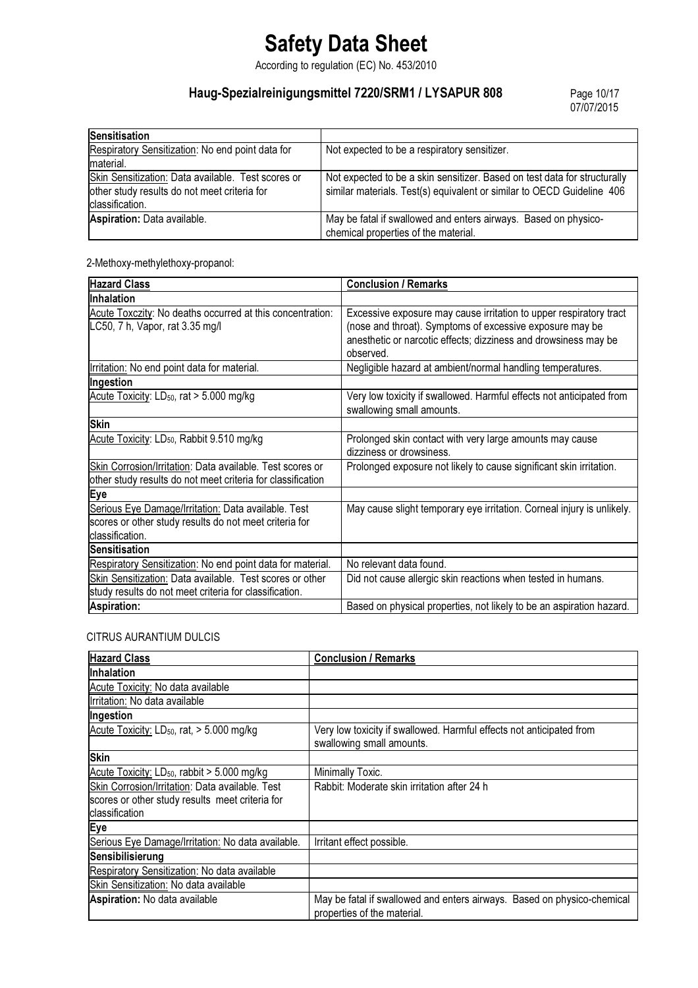According to regulation (EC) No. 453/2010

## Haug-Spezialreinigungsmittel 7220/SRM1 / LYSAPUR 808

Page 10/17<br>07/07/2015

| Sensitisation                                                                                                         |                                                                                                                                                     |  |
|-----------------------------------------------------------------------------------------------------------------------|-----------------------------------------------------------------------------------------------------------------------------------------------------|--|
| Respiratory Sensitization: No end point data for                                                                      | Not expected to be a respiratory sensitizer.                                                                                                        |  |
| material.                                                                                                             |                                                                                                                                                     |  |
| Skin Sensitization: Data available. Test scores or<br>other study results do not meet criteria for<br>classification. | Not expected to be a skin sensitizer. Based on test data for structurally<br>similar materials. Test(s) equivalent or similar to OECD Guideline 406 |  |
| Aspiration: Data available.                                                                                           | May be fatal if swallowed and enters airways. Based on physico-<br>chemical properties of the material.                                             |  |

2-Methoxy-methylethoxy-propanol:

| <b>Hazard Class</b>                                                                                                               | <b>Conclusion / Remarks</b>                                                                                                                                                                                    |
|-----------------------------------------------------------------------------------------------------------------------------------|----------------------------------------------------------------------------------------------------------------------------------------------------------------------------------------------------------------|
| Inhalation                                                                                                                        |                                                                                                                                                                                                                |
| Acute Toxczity: No deaths occurred at this concentration:<br>LC50, 7 h, Vapor, rat 3.35 mg/l                                      | Excessive exposure may cause irritation to upper respiratory tract<br>(nose and throat). Symptoms of excessive exposure may be<br>anesthetic or narcotic effects; dizziness and drowsiness may be<br>observed. |
| Irritation: No end point data for material.                                                                                       | Negligible hazard at ambient/normal handling temperatures.                                                                                                                                                     |
| Ingestion                                                                                                                         |                                                                                                                                                                                                                |
| Acute Toxicity: LD <sub>50</sub> , rat > 5.000 mg/kg                                                                              | Very low toxicity if swallowed. Harmful effects not anticipated from<br>swallowing small amounts.                                                                                                              |
| <b>Skin</b>                                                                                                                       |                                                                                                                                                                                                                |
| Acute Toxicity: LD <sub>50</sub> , Rabbit 9.510 mg/kg                                                                             | Prolonged skin contact with very large amounts may cause<br>dizziness or drowsiness.                                                                                                                           |
| Skin Corrosion/Irritation: Data available. Test scores or<br>other study results do not meet criteria for classification          | Prolonged exposure not likely to cause significant skin irritation.                                                                                                                                            |
| Eye                                                                                                                               |                                                                                                                                                                                                                |
| Serious Eye Damage/Irritation: Data available. Test<br>scores or other study results do not meet criteria for<br>Iclassification. | May cause slight temporary eye irritation. Corneal injury is unlikely.                                                                                                                                         |
| <b>Sensitisation</b>                                                                                                              |                                                                                                                                                                                                                |
| Respiratory Sensitization: No end point data for material.                                                                        | No relevant data found.                                                                                                                                                                                        |
| Skin Sensitization: Data available. Test scores or other<br>study results do not meet criteria for classification.                | Did not cause allergic skin reactions when tested in humans.                                                                                                                                                   |
| Aspiration:                                                                                                                       | Based on physical properties, not likely to be an aspiration hazard.                                                                                                                                           |

## CITRUS AURANTIUM DULCIS

| <b>Hazard Class</b>                                     | <b>Conclusion / Remarks</b>                                                                            |  |
|---------------------------------------------------------|--------------------------------------------------------------------------------------------------------|--|
| <b>Inhalation</b>                                       |                                                                                                        |  |
| Acute Toxicity: No data available                       |                                                                                                        |  |
| Irritation: No data available                           |                                                                                                        |  |
| Ingestion                                               |                                                                                                        |  |
| Acute Toxicity: LD <sub>50</sub> , rat, > 5.000 mg/kg   | Very low toxicity if swallowed. Harmful effects not anticipated from<br>swallowing small amounts.      |  |
| <b>Skin</b>                                             |                                                                                                        |  |
| Acute Toxicity: LD <sub>50</sub> , rabbit > 5.000 mg/kg | Minimally Toxic.                                                                                       |  |
| Skin Corrosion/Irritation: Data available. Test         | Rabbit: Moderate skin irritation after 24 h                                                            |  |
| scores or other study results meet criteria for         |                                                                                                        |  |
| classification                                          |                                                                                                        |  |
| Eye                                                     |                                                                                                        |  |
| Serious Eye Damage/Irritation: No data available.       | Irritant effect possible.                                                                              |  |
| Sensibilisierung                                        |                                                                                                        |  |
| Respiratory Sensitization: No data available            |                                                                                                        |  |
| Skin Sensitization: No data available                   |                                                                                                        |  |
| Aspiration: No data available                           | May be fatal if swallowed and enters airways. Based on physico-chemical<br>properties of the material. |  |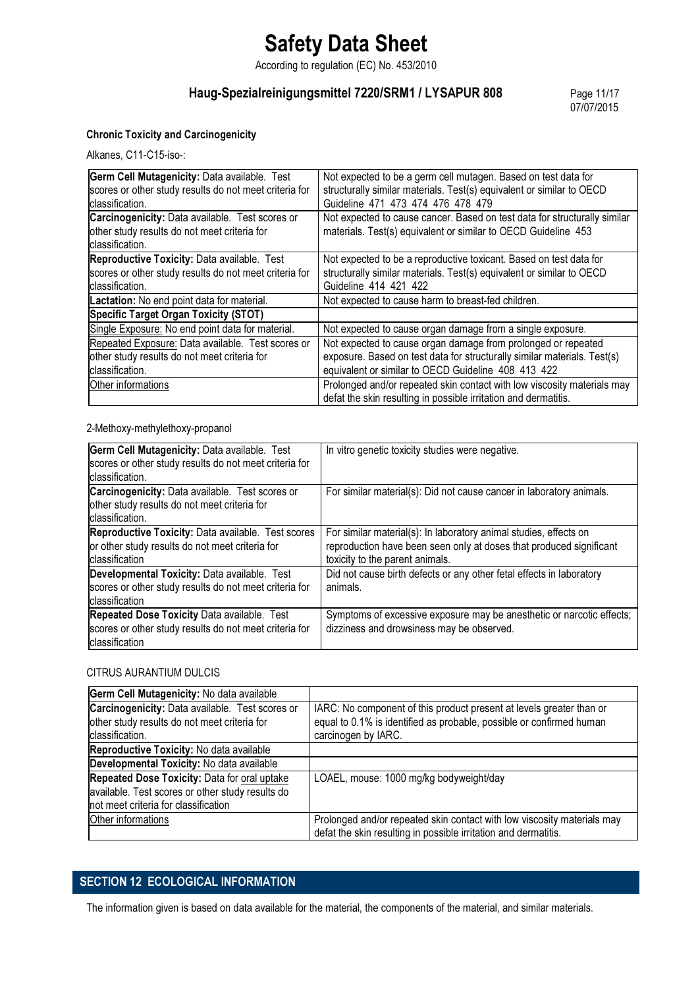According to regulation (EC) No. 453/2010

## Haug-Spezialreinigungsmittel 7220/SRM1 / LYSAPUR 808 Page 11/17

07/07/2015

### Chronic Toxicity and Carcinogenicity

Alkanes, C11-C15-iso-:

| Germ Cell Mutagenicity: Data available. Test<br>scores or other study results do not meet criteria for<br>classification. | Not expected to be a germ cell mutagen. Based on test data for<br>structurally similar materials. Test(s) equivalent or similar to OECD<br>Guideline 471 473 474 476 478 479 |  |
|---------------------------------------------------------------------------------------------------------------------------|------------------------------------------------------------------------------------------------------------------------------------------------------------------------------|--|
| Carcinogenicity: Data available. Test scores or                                                                           | Not expected to cause cancer. Based on test data for structurally similar                                                                                                    |  |
| other study results do not meet criteria for                                                                              | materials. Test(s) equivalent or similar to OECD Guideline 453                                                                                                               |  |
| classification.                                                                                                           |                                                                                                                                                                              |  |
| Reproductive Toxicity: Data available. Test                                                                               | Not expected to be a reproductive toxicant. Based on test data for                                                                                                           |  |
| scores or other study results do not meet criteria for                                                                    | structurally similar materials. Test(s) equivalent or similar to OECD                                                                                                        |  |
| classification.                                                                                                           | Guideline 414 421 422                                                                                                                                                        |  |
| Lactation: No end point data for material.                                                                                | Not expected to cause harm to breast-fed children.                                                                                                                           |  |
| Specific Target Organ Toxicity (STOT)                                                                                     |                                                                                                                                                                              |  |
| Single Exposure: No end point data for material.                                                                          | Not expected to cause organ damage from a single exposure.                                                                                                                   |  |
| Repeated Exposure: Data available. Test scores or                                                                         | Not expected to cause organ damage from prolonged or repeated                                                                                                                |  |
| other study results do not meet criteria for                                                                              | exposure. Based on test data for structurally similar materials. Test(s)                                                                                                     |  |
| classification.                                                                                                           | equivalent or similar to OECD Guideline 408 413 422                                                                                                                          |  |
| Other informations                                                                                                        | Prolonged and/or repeated skin contact with low viscosity materials may                                                                                                      |  |
|                                                                                                                           | defat the skin resulting in possible irritation and dermatitis.                                                                                                              |  |

2-Methoxy-methylethoxy-propanol

| Germ Cell Mutagenicity: Data available. Test<br>scores or other study results do not meet criteria for<br>classification. | In vitro genetic toxicity studies were negative.                                                                                                                            |
|---------------------------------------------------------------------------------------------------------------------------|-----------------------------------------------------------------------------------------------------------------------------------------------------------------------------|
| Carcinogenicity: Data available. Test scores or<br>other study results do not meet criteria for<br>classification.        | For similar material(s): Did not cause cancer in laboratory animals.                                                                                                        |
| Reproductive Toxicity: Data available. Test scores<br>or other study results do not meet criteria for<br>classification   | For similar material(s): In laboratory animal studies, effects on<br>reproduction have been seen only at doses that produced significant<br>toxicity to the parent animals. |
| Developmental Toxicity: Data available. Test<br>scores or other study results do not meet criteria for<br>classification  | Did not cause birth defects or any other fetal effects in laboratory<br>animals.                                                                                            |
| Repeated Dose Toxicity Data available. Test<br>scores or other study results do not meet criteria for<br>classification   | Symptoms of excessive exposure may be anesthetic or narcotic effects;<br>dizziness and drowsiness may be observed.                                                          |

#### CITRUS AURANTIUM DULCIS

| Germ Cell Mutagenicity: No data available                                                                          |                                                                                                                                                                     |  |
|--------------------------------------------------------------------------------------------------------------------|---------------------------------------------------------------------------------------------------------------------------------------------------------------------|--|
| Carcinogenicity: Data available. Test scores or<br>other study results do not meet criteria for<br>classification. | IARC: No component of this product present at levels greater than or<br>equal to 0.1% is identified as probable, possible or confirmed human<br>carcinogen by IARC. |  |
| Reproductive Toxicity: No data available                                                                           |                                                                                                                                                                     |  |
| Developmental Toxicity: No data available                                                                          |                                                                                                                                                                     |  |
| Repeated Dose Toxicity: Data for oral uptake                                                                       | LOAEL, mouse: 1000 mg/kg bodyweight/day                                                                                                                             |  |
| available. Test scores or other study results do                                                                   |                                                                                                                                                                     |  |
| not meet criteria for classification                                                                               |                                                                                                                                                                     |  |
| Other informations                                                                                                 | Prolonged and/or repeated skin contact with low viscosity materials may                                                                                             |  |
|                                                                                                                    | defat the skin resulting in possible irritation and dermatitis.                                                                                                     |  |

## SECTION 12 ECOLOGICAL INFORMATION

The information given is based on data available for the material, the components of the material, and similar materials.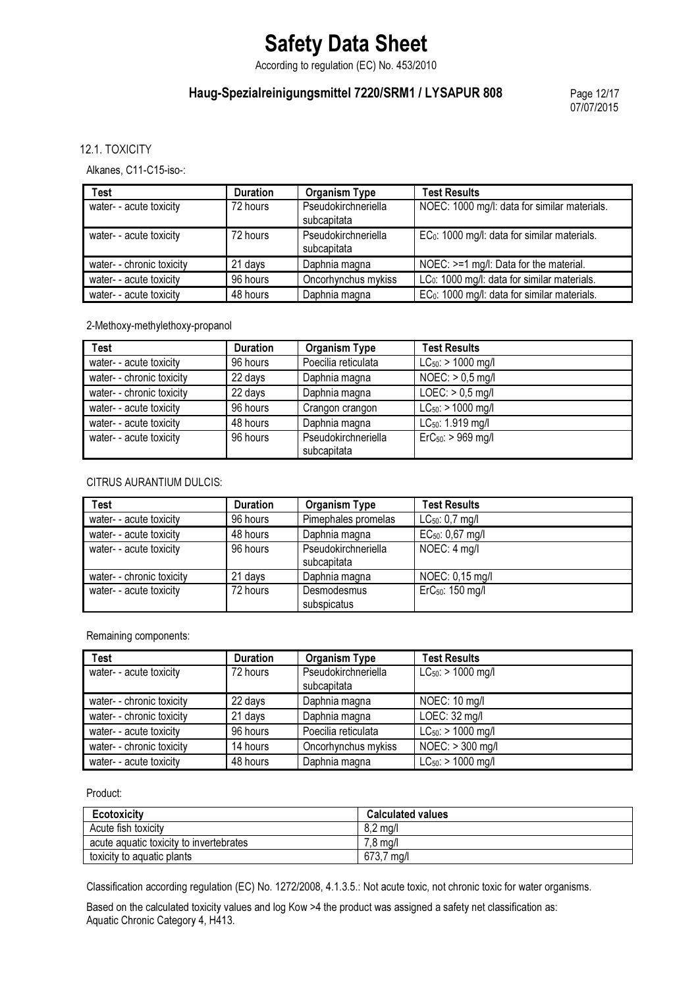According to regulation (EC) No. 453/2010

## Haug-Spezialreinigungsmittel 7220/SRM1 / LYSAPUR 808 Page 12/17

07/07/2015

12.1. TOXICITY

Alkanes, C11-C15-iso-:

| <b>Test</b>               | <b>Duration</b> | <b>Organism Type</b>               | <b>Test Results</b>                                      |
|---------------------------|-----------------|------------------------------------|----------------------------------------------------------|
| water- - acute toxicity   | 72 hours        | Pseudokirchneriella<br>subcapitata | NOEC: 1000 mg/l: data for similar materials.             |
| water- - acute toxicity   | 72 hours        | Pseudokirchneriella<br>subcapitata | EC <sub>0</sub> : 1000 mg/l: data for similar materials. |
| water- - chronic toxicity | 21 days         | Daphnia magna                      | NOEC: >=1 mg/l: Data for the material.                   |
| water- - acute toxicity   | 96 hours        | Oncorhynchus mykiss                | LC <sub>0</sub> : 1000 mg/l: data for similar materials. |
| water- - acute toxicity   | 48 hours        | Daphnia magna                      | EC <sub>0</sub> : 1000 mg/l: data for similar materials. |

2-Methoxy-methylethoxy-propanol

| <b>Test</b>               | <b>Duration</b> | <b>Organism Type</b>               | <b>Test Results</b>     |
|---------------------------|-----------------|------------------------------------|-------------------------|
| water- - acute toxicity   | 96 hours        | Poecilia reticulata                | $LC_{50}$ : > 1000 mg/l |
| water- - chronic toxicity | 22 days         | Daphnia magna                      | $NOEC:$ > 0,5 mg/l      |
| water- - chronic toxicity | 22 days         | Daphnia magna                      | $LOEC:$ > 0,5 mg/l      |
| water- - acute toxicity   | 96 hours        | Crangon crangon                    | $LC_{50}$ : > 1000 mg/l |
| water- - acute toxicity   | 48 hours        | Daphnia magna                      | $LC_{50}$ : 1.919 mg/l  |
| water- - acute toxicity   | 96 hours        | Pseudokirchneriella<br>subcapitata | $ErC_{50}$ : > 969 mg/l |

## CITRUS AURANTIUM DULCIS:

| <b>Test</b>               | <b>Duration</b> | <b>Organism Type</b>               | <b>Test Results</b>          |
|---------------------------|-----------------|------------------------------------|------------------------------|
| water- - acute toxicity   | 96 hours        | Pimephales promelas                | $LC_{50}$ : 0,7 mg/l         |
| water- - acute toxicity   | 48 hours        | Daphnia magna                      | EC <sub>50</sub> : 0,67 mg/l |
| water- - acute toxicity   | 96 hours        | Pseudokirchneriella<br>subcapitata | NOEC: 4 mg/l                 |
| water- - chronic toxicity | 21 days         | Daphnia magna                      | NOEC: $0,15 \text{ mg/l}$    |
| water- - acute toxicity   | 72 hours        | Desmodesmus<br>subspicatus         | ErC <sub>50</sub> : 150 mg/l |

Remaining components:

| <b>Test</b>               | <b>Duration</b> | <b>Organism Type</b>               | <b>Test Results</b>     |
|---------------------------|-----------------|------------------------------------|-------------------------|
| water- - acute toxicity   | 72 hours        | Pseudokirchneriella<br>subcapitata | $LC_{50}$ : > 1000 mg/l |
| water- - chronic toxicity | 22 days         | Daphnia magna                      | NOEC: 10 mg/l           |
|                           |                 |                                    |                         |
| water- - chronic toxicity | 21 days         | Daphnia magna                      | LOEC: 32 mg/l           |
| water- - acute toxicity   | 96 hours        | Poecilia reticulata                | $LC_{50}$ : > 1000 mg/l |
| water- - chronic toxicity | 14 hours        | Oncorhynchus mykiss                | NOEC: > 300 mg/l        |
| water- - acute toxicity   | 48 hours        | Daphnia magna                      | $LC_{50}$ : > 1000 mg/l |

Product:

| Ecotoxicity                             | <b>Calculated values</b> |
|-----------------------------------------|--------------------------|
| Acute fish toxicity                     | 8.2 ma/l                 |
| acute aquatic toxicity to invertebrates | '.8 ma/l                 |
| toxicity to aguatic plants              | 673.7<br>ma/l            |

Classification according regulation (EC) No. 1272/2008, 4.1.3.5.: Not acute toxic, not chronic toxic for water organisms.

Based on the calculated toxicity values and log Kow >4 the product was assigned a safety net classification as: Aquatic Chronic Category 4, H413.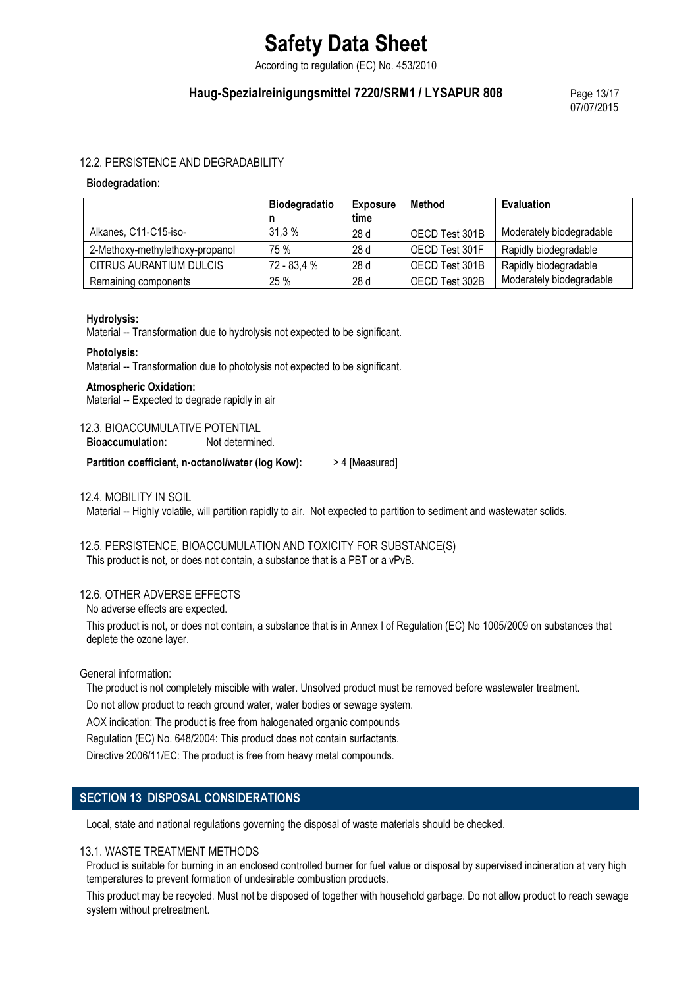According to regulation (EC) No. 453/2010

## Haug-Spezialreinigungsmittel 7220/SRM1 / LYSAPUR 808 Page 13/17

07/07/2015

#### 12.2. PERSISTENCE AND DEGRADABILITY

#### Biodegradation:

|                                 | <b>Biodegradatio</b> | <b>Exposure</b> | <b>Method</b>  | <b>Evaluation</b>        |
|---------------------------------|----------------------|-----------------|----------------|--------------------------|
|                                 |                      | time            |                |                          |
| Alkanes, C11-C15-iso-           | 31.3%                | 28d             | OECD Test 301B | Moderately biodegradable |
| 2-Methoxy-methylethoxy-propanol | 75 %                 | 28 <sub>d</sub> | OECD Test 301F | Rapidly biodegradable    |
| CITRUS AURANTIUM DULCIS         | 72 - 83,4 %          | 28d             | OECD Test 301B | Rapidly biodegradable    |
| Remaining components            | 25%                  | 28d             | OECD Test 302B | Moderately biodegradable |

#### Hydrolysis:

Material -- Transformation due to hydrolysis not expected to be significant.

#### Photolysis:

Material -- Transformation due to photolysis not expected to be significant.

#### Atmospheric Oxidation:

Material -- Expected to degrade rapidly in air

#### 12.3. BIOACCUMULATIVE POTENTIAL

Bioaccumulation: Not determined.

Partition coefficient, n-octanol/water (log Kow): > 4 [Measured]

#### 12.4. MOBILITY IN SOIL

Material -- Highly volatile, will partition rapidly to air. Not expected to partition to sediment and wastewater solids.

## 12.5. PERSISTENCE, BIOACCUMULATION AND TOXICITY FOR SUBSTANCE(S)

This product is not, or does not contain, a substance that is a PBT or a vPvB.

#### 12.6. OTHER ADVERSE EFFECTS

No adverse effects are expected.

This product is not, or does not contain, a substance that is in Annex I of Regulation (EC) No 1005/2009 on substances that deplete the ozone layer.

General information:

The product is not completely miscible with water. Unsolved product must be removed before wastewater treatment.

Do not allow product to reach ground water, water bodies or sewage system.

AOX indication: The product is free from halogenated organic compounds

Regulation (EC) No. 648/2004: This product does not contain surfactants.

Directive 2006/11/EC: The product is free from heavy metal compounds.

## SECTION 13 DISPOSAL CONSIDERATIONS

Local, state and national regulations governing the disposal of waste materials should be checked.

#### 13.1. WASTE TREATMENT METHODS

Product is suitable for burning in an enclosed controlled burner for fuel value or disposal by supervised incineration at very high temperatures to prevent formation of undesirable combustion products.

This product may be recycled. Must not be disposed of together with household garbage. Do not allow product to reach sewage system without pretreatment.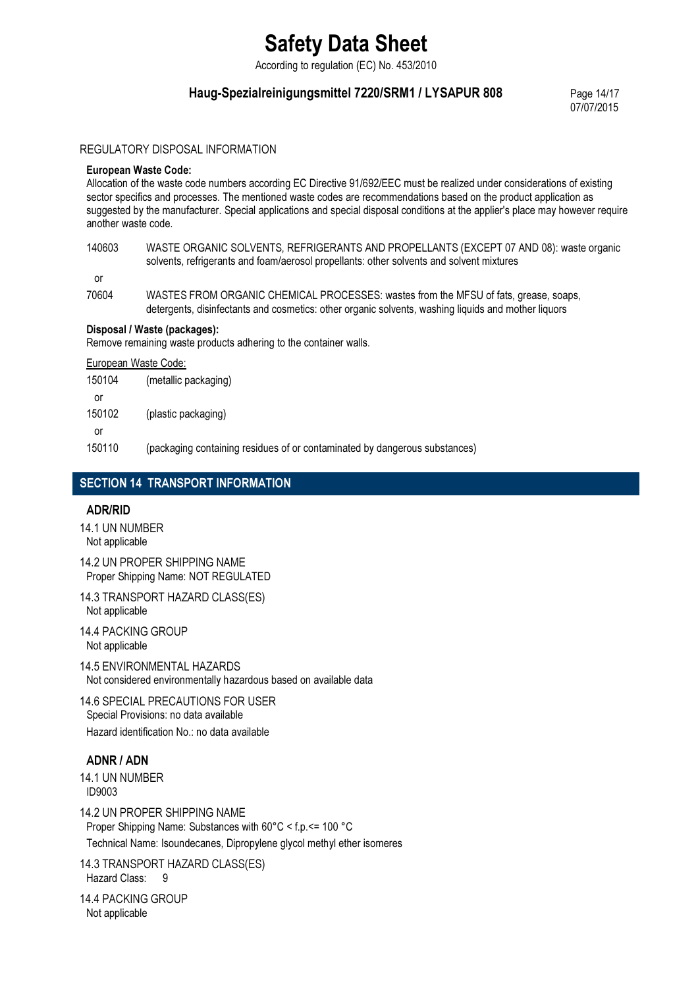According to regulation (EC) No. 453/2010

## Haug-Spezialreinigungsmittel 7220/SRM1 / LYSAPUR 808 Page 14/17

07/07/2015

## REGULATORY DISPOSAL INFORMATION

#### European Waste Code:

Allocation of the waste code numbers according EC Directive 91/692/EEC must be realized under considerations of existing sector specifics and processes. The mentioned waste codes are recommendations based on the product application as suggested by the manufacturer. Special applications and special disposal conditions at the applier's place may however require another waste code.

### 140603 WASTE ORGANIC SOLVENTS, REFRIGERANTS AND PROPELLANTS (EXCEPT 07 AND 08): waste organic solvents, refrigerants and foam/aerosol propellants: other solvents and solvent mixtures

or

70604 WASTES FROM ORGANIC CHEMICAL PROCESSES: wastes from the MFSU of fats, grease, soaps, detergents, disinfectants and cosmetics: other organic solvents, washing liquids and mother liquors

Disposal / Waste (packages): Remove remaining waste products adhering to the container walls.

European Waste Code:

| 150104 | (metallic packaging) |
|--------|----------------------|
| or     |                      |
| 150102 | (plastic packaging)  |
| Ωr     |                      |
|        |                      |

150110 (packaging containing residues of or contaminated by dangerous substances)

## SECTION 14 TRANSPORT INFORMATION

### ADR/RID

- 14.1 UN NUMBER Not applicable
- 14.2 UN PROPER SHIPPING NAME Proper Shipping Name: NOT REGULATED
- 14.3 TRANSPORT HAZARD CLASS(ES) Not applicable
- 14.4 PACKING GROUP Not applicable

14.5 ENVIRONMENTAL HAZARDS Not considered environmentally hazardous based on available data

14.6 SPECIAL PRECAUTIONS FOR USER Special Provisions: no data available Hazard identification No.: no data available

### ADNR / ADN

14.1 UN NUMBER ID9003

14.2 UN PROPER SHIPPING NAME Proper Shipping Name: Substances with 60°C < f.p.<= 100 °C Technical Name: Isoundecanes, Dipropylene glycol methyl ether isomeres

14.3 TRANSPORT HAZARD CLASS(ES) Hazard Class: 9

14.4 PACKING GROUP Not applicable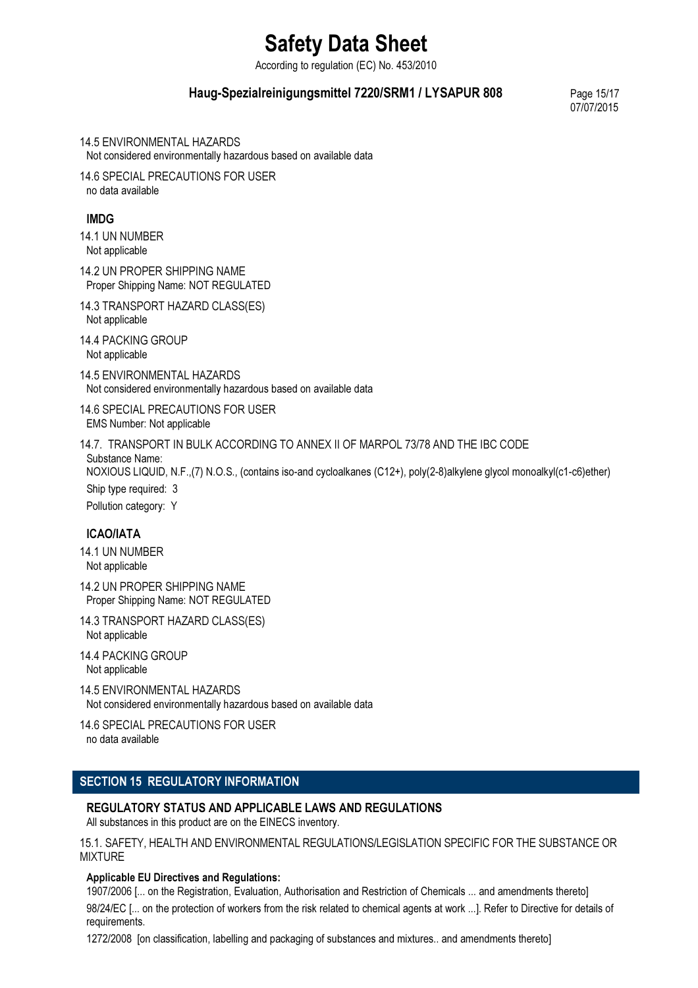According to regulation (EC) No. 453/2010

## Haug-Spezialreinigungsmittel 7220/SRM1 / LYSAPUR 808 Page 15/17

07/07/2015

14.5 ENVIRONMENTAL HAZARDS Not considered environmentally hazardous based on available data

14.6 SPECIAL PRECAUTIONS FOR USER no data available

## IMDG

14.1 UN NUMBER Not applicable

14.2 UN PROPER SHIPPING NAME Proper Shipping Name: NOT REGULATED

14.3 TRANSPORT HAZARD CLASS(ES) Not applicable

14.4 PACKING GROUP Not applicable

14.5 ENVIRONMENTAL HAZARDS Not considered environmentally hazardous based on available data

14.6 SPECIAL PRECAUTIONS FOR USER EMS Number: Not applicable

14.7. TRANSPORT IN BULK ACCORDING TO ANNEX II OF MARPOL 73/78 AND THE IBC CODE Substance Name: NOXIOUS LIQUID, N.F.,(7) N.O.S., (contains iso-and cycloalkanes (C12+), poly(2-8)alkylene glycol monoalkyl(c1-c6)ether) Ship type required: 3 Pollution category: Y

## ICAO/IATA

14.1 UN NUMBER Not applicable

14.2 UN PROPER SHIPPING NAME Proper Shipping Name: NOT REGULATED

14.3 TRANSPORT HAZARD CLASS(ES) Not applicable

14.4 PACKING GROUP Not applicable

14.5 ENVIRONMENTAL HAZARDS Not considered environmentally hazardous based on available data

14.6 SPECIAL PRECAUTIONS FOR USER no data available

## SECTION 15 REGULATORY INFORMATION

## REGULATORY STATUS AND APPLICABLE LAWS AND REGULATIONS

All substances in this product are on the EINECS inventory.

15.1. SAFETY, HEALTH AND ENVIRONMENTAL REGULATIONS/LEGISLATION SPECIFIC FOR THE SUBSTANCE OR MIXTURE

## Applicable EU Directives and Regulations:

1907/2006 [... on the Registration, Evaluation, Authorisation and Restriction of Chemicals ... and amendments thereto] 98/24/EC [... on the protection of workers from the risk related to chemical agents at work ...]. Refer to Directive for details of requirements.

1272/2008 [on classification, labelling and packaging of substances and mixtures.. and amendments thereto]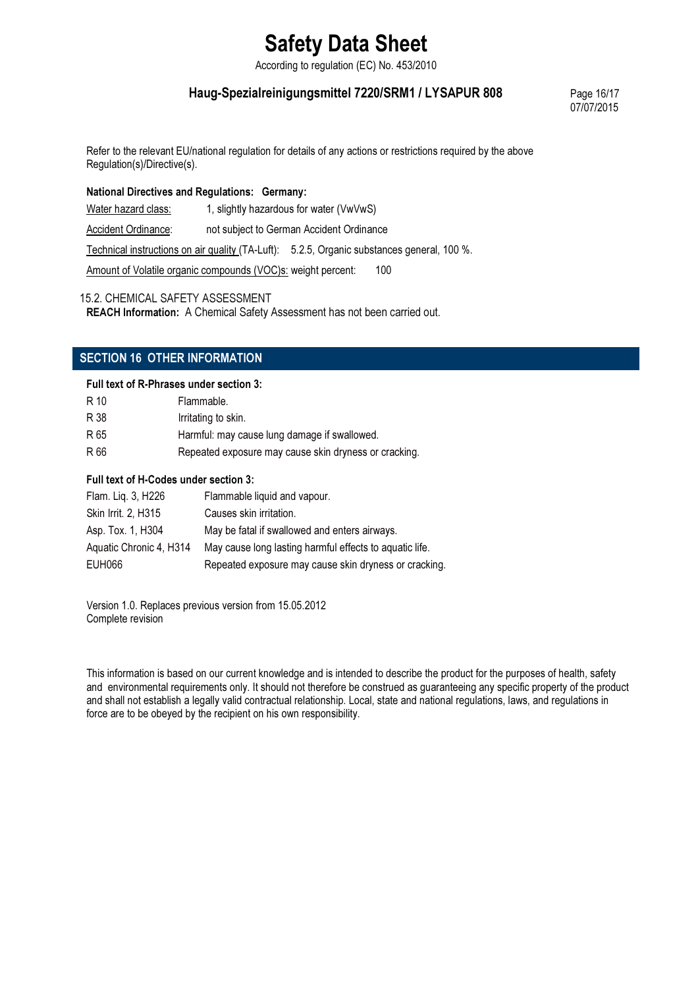According to regulation (EC) No. 453/2010

## Haug-Spezialreinigungsmittel 7220/SRM1 / LYSAPUR 808 Page 16/17

07/07/2015

Refer to the relevant EU/national regulation for details of any actions or restrictions required by the above Regulation(s)/Directive(s).

## National Directives and Regulations: Germany:

Water hazard class: 1, slightly hazardous for water (VwVwS)

Accident Ordinance: not subject to German Accident Ordinance

Technical instructions on air quality (TA-Luft): 5.2.5, Organic substances general, 100 %.

Amount of Volatile organic compounds (VOC)s: weight percent: 100

15.2. CHEMICAL SAFETY ASSESSMENT

REACH Information: A Chemical Safety Assessment has not been carried out.

## SECTION 16 OTHER INFORMATION

### Full text of R-Phrases under section 3:

| R 10 | Flammable.                                            |
|------|-------------------------------------------------------|
| R 38 | Irritating to skin.                                   |
| R 65 | Harmful: may cause lung damage if swallowed.          |
| R 66 | Repeated exposure may cause skin dryness or cracking. |

## Full text of H-Codes under section 3:

| Flam. Lig. 3, H226      | Flammable liquid and vapour.                            |
|-------------------------|---------------------------------------------------------|
| Skin Irrit. 2, H315     | Causes skin irritation.                                 |
| Asp. Tox. 1, H304       | May be fatal if swallowed and enters airways.           |
| Aquatic Chronic 4, H314 | May cause long lasting harmful effects to aquatic life. |
| EUH066                  | Repeated exposure may cause skin dryness or cracking.   |

Version 1.0. Replaces previous version from 15.05.2012 Complete revision

This information is based on our current knowledge and is intended to describe the product for the purposes of health, safety and environmental requirements only. It should not therefore be construed as guaranteeing any specific property of the product and shall not establish a legally valid contractual relationship. Local, state and national regulations, laws, and regulations in force are to be obeyed by the recipient on his own responsibility.